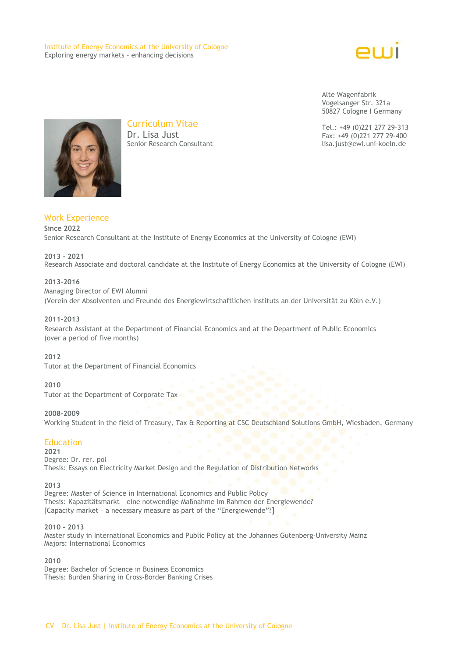Institute of Energy Economics at the University of Cologne Exploring energy markets – enhancing decisions



Alte Wagenfabrik Vogelsanger Str. 321a 50827 Cologne I Germany

Tel.: +49 (0)221 277 29-313 Fax: +49 (0)221 277 29-400 lisa.just@ewi.uni-koeln.de



Curriculum Vitae Dr. Lisa Just Senior Research Consultant

# Work Experience **Since 2022**

Senior Research Consultant at the Institute of Energy Economics at the University of Cologne (EWI)

# **2013 - 2021** Research Associate and doctoral candidate at the Institute of Energy Economics at the University of Cologne (EWI)

# **2013-2016**

Managing Director of EWI Alumni (Verein der Absolventen und Freunde des Energiewirtschaftlichen Instituts an der Universität zu Köln e.V.)

#### **2011-2013**

Research Assistant at the Department of Financial Economics and at the Department of Public Economics (over a period of five months)

**2012**

Tutor at the Department of Financial Economics

### **2010**

Tutor at the Department of Corporate Tax

### **2008-2009**

Working Student in the field of Treasury, Tax & Reporting at CSC Deutschland Solutions GmbH, Wiesbaden, Germany

# **Education**

**2021** Degree: Dr. rer. pol Thesis: Essays on Electricity Market Design and the Regulation of Distribution Networks

#### **2013**

Degree: Master of Science in International Economics and Public Policy Thesis: Kapazitätsmarkt – eine notwendige Maßnahme im Rahmen der Energiewende? [Capacity market – a necessary measure as part of the "Energiewende"?]

#### **2010 – 2013**

Master study in International Economics and Public Policy at the Johannes Gutenberg-University Mainz Majors: International Economics

#### **2010**

Degree: Bachelor of Science in Business Economics Thesis: Burden Sharing in Cross-Border Banking Crises